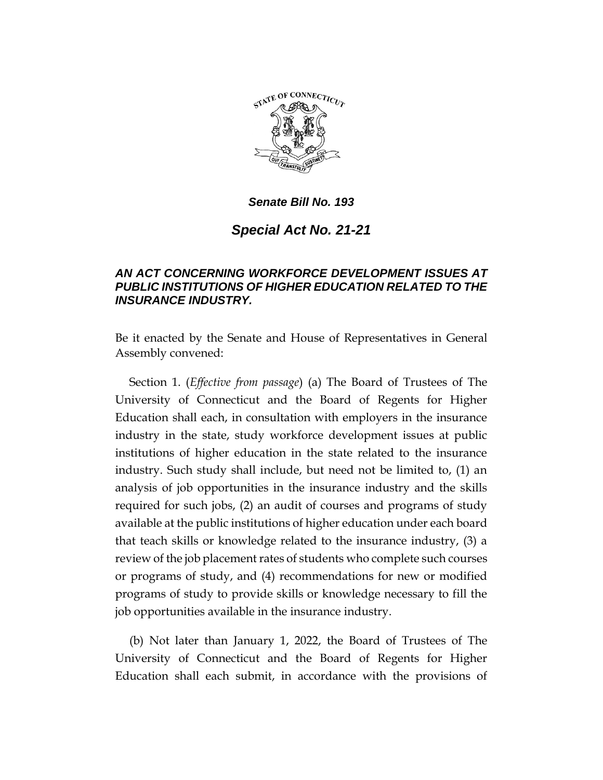

*Senate Bill No. 193*

*Special Act No. 21-21*

## *AN ACT CONCERNING WORKFORCE DEVELOPMENT ISSUES AT PUBLIC INSTITUTIONS OF HIGHER EDUCATION RELATED TO THE INSURANCE INDUSTRY.*

Be it enacted by the Senate and House of Representatives in General Assembly convened:

Section 1. (*Effective from passage*) (a) The Board of Trustees of The University of Connecticut and the Board of Regents for Higher Education shall each, in consultation with employers in the insurance industry in the state, study workforce development issues at public institutions of higher education in the state related to the insurance industry. Such study shall include, but need not be limited to, (1) an analysis of job opportunities in the insurance industry and the skills required for such jobs, (2) an audit of courses and programs of study available at the public institutions of higher education under each board that teach skills or knowledge related to the insurance industry, (3) a review of the job placement rates of students who complete such courses or programs of study, and (4) recommendations for new or modified programs of study to provide skills or knowledge necessary to fill the job opportunities available in the insurance industry.

(b) Not later than January 1, 2022, the Board of Trustees of The University of Connecticut and the Board of Regents for Higher Education shall each submit, in accordance with the provisions of